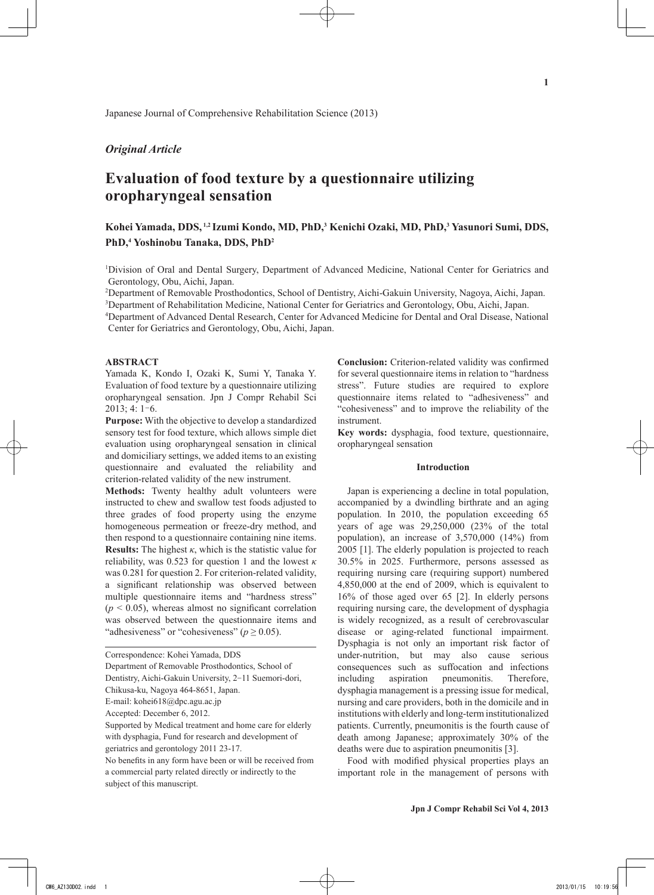Japanese Journal of Comprehensive Rehabilitation Science (2013)

## *Original Article*

# **Evaluation of food texture by a questionnaire utilizing oropharyngeal sensation**

## **Kohei Yamada, DDS, 1,2 Izumi Kondo, MD, PhD,3 Kenichi Ozaki, MD, PhD,3 Yasunori Sumi, DDS, PhD,4 Yoshinobu Tanaka, DDS, PhD2**

<sup>1</sup>Division of Oral and Dental Surgery, Department of Advanced Medicine, National Center for Geriatrics and Gerontology, Obu, Aichi, Japan.

2 Department of Removable Prosthodontics, School of Dentistry, Aichi-Gakuin University, Nagoya, Aichi, Japan.

<sup>3</sup>Department of Rehabilitation Medicine, National Center for Geriatrics and Gerontology, Obu, Aichi, Japan.

4 Department of Advanced Dental Research, Center for Advanced Medicine for Dental and Oral Disease, National Center for Geriatrics and Gerontology, Obu, Aichi, Japan.

## **ABSTRACT**

Yamada K, Kondo I, Ozaki K, Sumi Y, Tanaka Y. Evaluation of food texture by a questionnaire utilizing oropharyngeal sensation. Jpn J Compr Rehabil Sci 2013; 4: 1-6.

**Purpose:** With the objective to develop a standardized sensory test for food texture, which allows simple diet evaluation using oropharyngeal sensation in clinical and domiciliary settings, we added items to an existing questionnaire and evaluated the reliability and criterion-related validity of the new instrument.

**Methods:** Twenty healthy adult volunteers were instructed to chew and swallow test foods adjusted to three grades of food property using the enzyme homogeneous permeation or freeze-dry method, and then respond to a questionnaire containing nine items. **Results:** The highest *κ*, which is the statistic value for reliability, was 0.523 for question 1 and the lowest  $\kappa$ was 0.281 for question 2. For criterion-related validity, a significant relationship was observed between multiple questionnaire items and "hardness stress"  $(p < 0.05)$ , whereas almost no significant correlation was observed between the questionnaire items and "adhesiveness" or "cohesiveness" (*p* ≥ 0.05).

**Conclusion:** Criterion-related validity was confirmed for several questionnaire items in relation to "hardness stress". Future studies are required to explore questionnaire items related to "adhesiveness" and "cohesiveness" and to improve the reliability of the instrument.

**Key words:** dysphagia, food texture, questionnaire, oropharyngeal sensation

#### **Introduction**

Japan is experiencing a decline in total population, accompanied by a dwindling birthrate and an aging population. In 2010, the population exceeding 65 years of age was 29,250,000 (23% of the total population), an increase of 3,570,000 (14%) from 2005 [1]. The elderly population is projected to reach 30.5% in 2025. Furthermore, persons assessed as requiring nursing care (requiring support) numbered 4,850,000 at the end of 2009, which is equivalent to 16% of those aged over 65 [2]. In elderly persons requiring nursing care, the development of dysphagia is widely recognized, as a result of cerebrovascular disease or aging-related functional impairment. Dysphagia is not only an important risk factor of under-nutrition, but may also cause serious consequences such as suffocation and infections including aspiration pneumonitis. Therefore, dysphagia management is a pressing issue for medical, nursing and care providers, both in the domicile and in institutions with elderly and long-term institutionalized patients. Currently, pneumonitis is the fourth cause of death among Japanese; approximately 30% of the deaths were due to aspiration pneumonitis [3].

Food with modified physical properties plays an important role in the management of persons with

Correspondence: Kohei Yamada, DDS

Department of Removable Prosthodontics, School of

Dentistry, Aichi-Gakuin University, 2-11 Suemori-dori,

Chikusa-ku, Nagoya 464-8651, Japan.

E-mail: kohei618@dpc.agu.ac.jp

Accepted: December 6, 2012.

Supported by Medical treatment and home care for elderly with dysphagia, Fund for research and development of geriatrics and gerontology 2011 23-17.

No benefits in any form have been or will be received from a commercial party related directly or indirectly to the subject of this manuscript.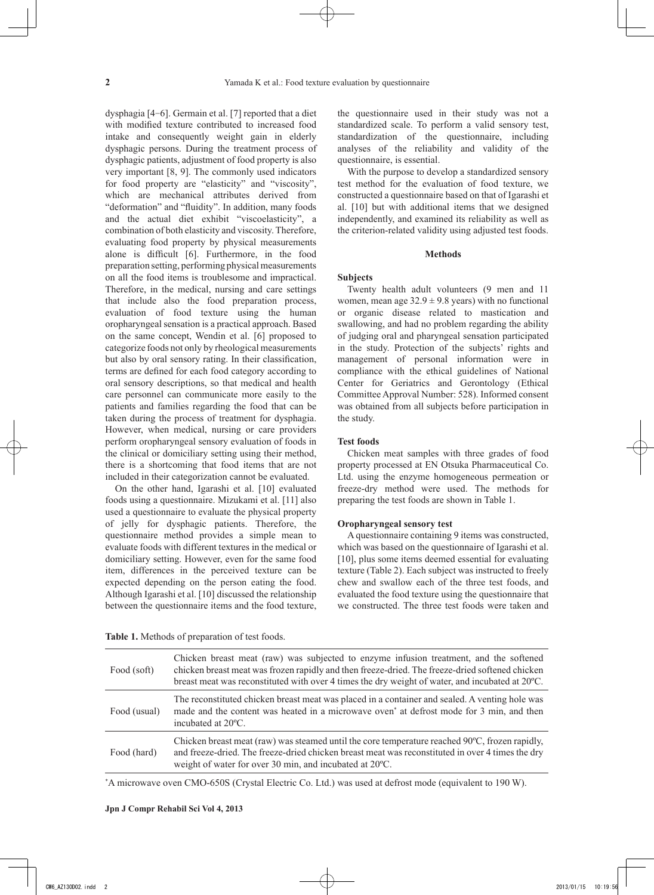dysphagia [4-6]. Germain et al. [7] reported that a diet with modified texture contributed to increased food intake and consequently weight gain in elderly dysphagic persons. During the treatment process of dysphagic patients, adjustment of food property is also very important [8, 9]. The commonly used indicators for food property are "elasticity" and "viscosity", which are mechanical attributes derived from "deformation" and "fluidity". In addition, many foods and the actual diet exhibit "viscoelasticity", a combination of both elasticity and viscosity. Therefore, evaluating food property by physical measurements alone is difficult [6]. Furthermore, in the food preparation setting, performing physical measurements on all the food items is troublesome and impractical. Therefore, in the medical, nursing and care settings that include also the food preparation process, evaluation of food texture using the human oropharyngeal sensation is a practical approach. Based on the same concept, Wendin et al. [6] proposed to categorize foods not only by rheological measurements but also by oral sensory rating. In their classification, terms are defined for each food category according to oral sensory descriptions, so that medical and health care personnel can communicate more easily to the patients and families regarding the food that can be taken during the process of treatment for dysphagia. However, when medical, nursing or care providers perform oropharyngeal sensory evaluation of foods in the clinical or domiciliary setting using their method, there is a shortcoming that food items that are not included in their categorization cannot be evaluated.

On the other hand, Igarashi et al. [10] evaluated foods using a questionnaire. Mizukami et al. [11] also used a questionnaire to evaluate the physical property of jelly for dysphagic patients. Therefore, the questionnaire method provides a simple mean to evaluate foods with different textures in the medical or domiciliary setting. However, even for the same food item, differences in the perceived texture can be expected depending on the person eating the food. Although Igarashi et al. [10] discussed the relationship between the questionnaire items and the food texture, the questionnaire used in their study was not a standardized scale. To perform a valid sensory test, standardization of the questionnaire, including analyses of the reliability and validity of the questionnaire, is essential.

With the purpose to develop a standardized sensory test method for the evaluation of food texture, we constructed a questionnaire based on that of Igarashi et al. [10] but with additional items that we designed independently, and examined its reliability as well as the criterion-related validity using adjusted test foods.

## **Methods**

## **Subjects**

Twenty health adult volunteers (9 men and 11 women, mean age  $32.9 \pm 9.8$  years) with no functional or organic disease related to mastication and swallowing, and had no problem regarding the ability of judging oral and pharyngeal sensation participated in the study. Protection of the subjects' rights and management of personal information were in compliance with the ethical guidelines of National Center for Geriatrics and Gerontology (Ethical Committee Approval Number: 528). Informed consent was obtained from all subjects before participation in the study.

#### **Test foods**

Chicken meat samples with three grades of food property processed at EN Otsuka Pharmaceutical Co. Ltd. using the enzyme homogeneous permeation or freeze-dry method were used. The methods for preparing the test foods are shown in Table 1.

#### **Oropharyngeal sensory test**

A questionnaire containing 9 items was constructed, which was based on the questionnaire of Igarashi et al. [10], plus some items deemed essential for evaluating texture (Table 2). Each subject was instructed to freely chew and swallow each of the three test foods, and evaluated the food texture using the questionnaire that we constructed. The three test foods were taken and

| Table 1. Methods of preparation of test foods. |  |
|------------------------------------------------|--|
|------------------------------------------------|--|

| Food (soft)  | Chicken breast meat (raw) was subjected to enzyme infusion treatment, and the softened<br>chicken breast meat was frozen rapidly and then freeze-dried. The freeze-dried softened chicken<br>breast meat was reconstituted with over 4 times the dry weight of water, and incubated at 20°C. |
|--------------|----------------------------------------------------------------------------------------------------------------------------------------------------------------------------------------------------------------------------------------------------------------------------------------------|
| Food (usual) | The reconstituted chicken breast meat was placed in a container and sealed. A venting hole was<br>made and the content was heated in a microwave oven <sup>*</sup> at defrost mode for 3 min, and then<br>incubated at 20 °C.                                                                |
| Food (hard)  | Chicken breast meat (raw) was steamed until the core temperature reached 90°C, frozen rapidly,<br>and freeze-dried. The freeze-dried chicken breast meat was reconstituted in over 4 times the dry<br>weight of water for over 30 min, and incubated at 20°C.                                |

\* A microwave oven CMO-650S (Crystal Electric Co. Ltd.) was used at defrost mode (equivalent to 190 W).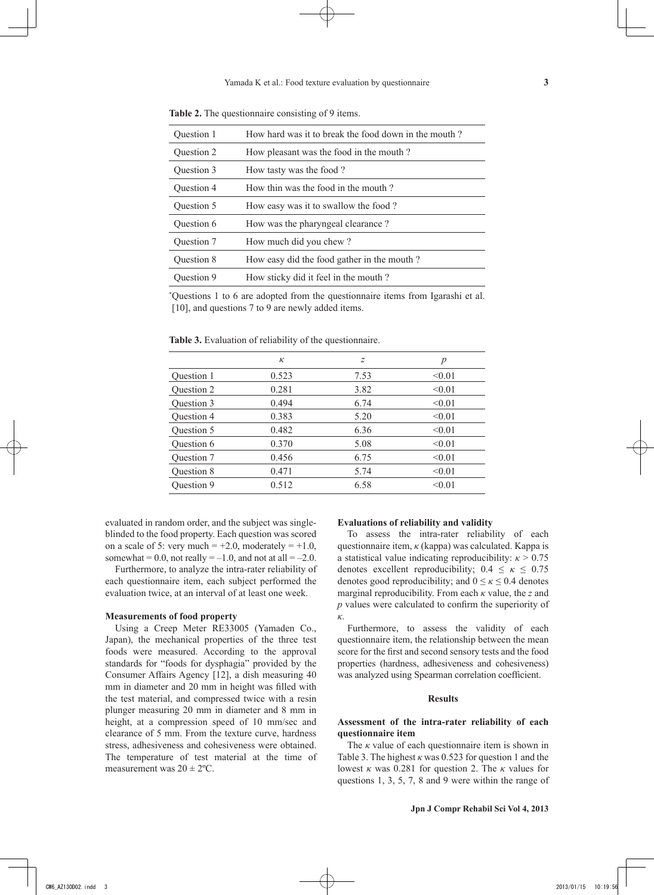| Ouestion 1        | How hard was it to break the food down in the mouth? |
|-------------------|------------------------------------------------------|
| Question 2        | How pleasant was the food in the mouth?              |
| Question 3        | How tasty was the food?                              |
| Question 4        | How thin was the food in the mouth?                  |
| Question 5        | How easy was it to swallow the food?                 |
| Question 6        | How was the pharyngeal clearance?                    |
| Question 7        | How much did you chew?                               |
| <b>Ouestion 8</b> | How easy did the food gather in the mouth?           |
| Question 9        | How sticky did it feel in the mouth?                 |
|                   |                                                      |

**Table 2.** The questionnaire consisting of 9 items.

\* Questions 1 to 6 are adopted from the questionnaire items from Igarashi et al. [10], and questions 7 to 9 are newly added items.

**Table 3.** Evaluation of reliability of the questionnaire.

|            | к     | z    | p      |
|------------|-------|------|--------|
| Question 1 | 0.523 | 7.53 | < 0.01 |
| Question 2 | 0.281 | 3.82 | < 0.01 |
| Question 3 | 0.494 | 6.74 | < 0.01 |
| Question 4 | 0.383 | 5.20 | < 0.01 |
| Question 5 | 0.482 | 6.36 | < 0.01 |
| Question 6 | 0.370 | 5.08 | < 0.01 |
| Question 7 | 0.456 | 6.75 | < 0.01 |
| Question 8 | 0.471 | 5.74 | < 0.01 |
| Question 9 | 0.512 | 6.58 | < 0.01 |
|            |       |      |        |

evaluated in random order, and the subject was singleblinded to the food property. Each question was scored on a scale of 5: very much  $= +2.0$ , moderately  $= +1.0$ , somewhat = 0.0, not really =  $-1.0$ , and not at all =  $-2.0$ .

Furthermore, to analyze the intra-rater reliability of each questionnaire item, each subject performed the evaluation twice, at an interval of at least one week.

#### **Measurements of food property**

Using a Creep Meter RE33005 (Yamaden Co., Japan), the mechanical properties of the three test foods were measured. According to the approval standards for "foods for dysphagia" provided by the Consumer Affairs Agency [12], a dish measuring 40 mm in diameter and 20 mm in height was filled with the test material, and compressed twice with a resin plunger measuring 20 mm in diameter and 8 mm in height, at a compression speed of 10 mm/sec and clearance of 5 mm. From the texture curve, hardness stress, adhesiveness and cohesiveness were obtained. The temperature of test material at the time of measurement was  $20 \pm 2$ <sup>o</sup>C.

## **Evaluations of reliability and validity**

To assess the intra-rater reliability of each questionnaire item, *κ* (kappa) was calculated. Kappa is a statistical value indicating reproducibility:  $\kappa > 0.75$ denotes excellent reproducibility;  $0.4 \le \kappa \le 0.75$ denotes good reproducibility; and  $0 \le \kappa \le 0.4$  denotes marginal reproducibility. From each *κ* value, the *z* and *p* values were calculated to confirm the superiority of *κ*.

Furthermore, to assess the validity of each questionnaire item, the relationship between the mean score for the first and second sensory tests and the food properties (hardness, adhesiveness and cohesiveness) was analyzed using Spearman correlation coefficient.

## **Results**

## **Assessment of the intra-rater reliability of each questionnaire item**

The *κ* value of each questionnaire item is shown in Table 3. The highest  $\kappa$  was 0.523 for question 1 and the lowest *κ* was 0.281 for question 2. The *κ* values for questions 1, 3, 5, 7, 8 and 9 were within the range of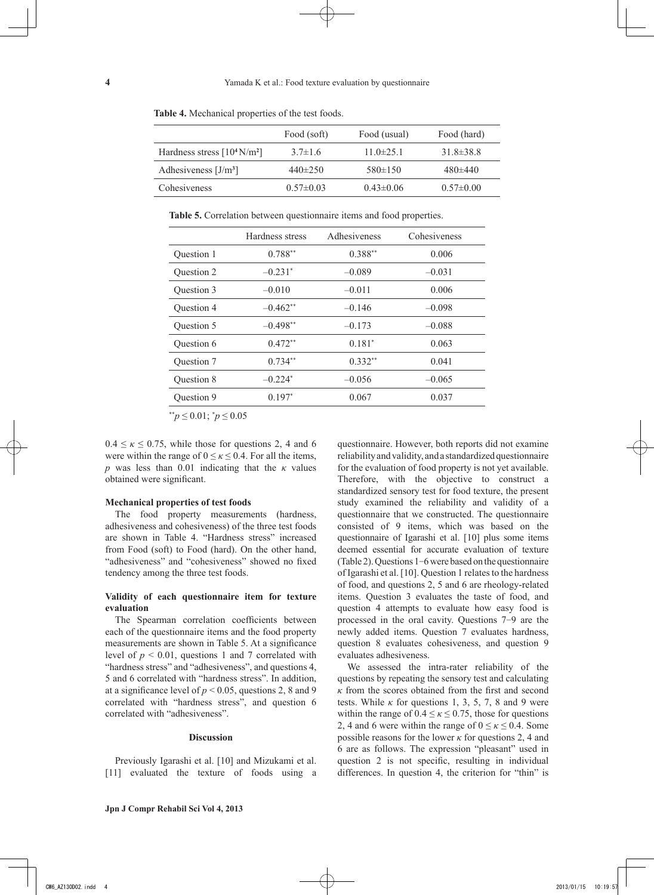|                                        | Food (soft)     | Food (usual)   | Food (hard)     |
|----------------------------------------|-----------------|----------------|-----------------|
| Hardness stress $[10^4 \text{ N/m}^2]$ | $3.7\pm1.6$     | $11.0\pm 25.1$ | $31.8 \pm 38.8$ |
| Adhesiveness $[J/m3]$                  | $440\pm250$     | $580\pm150$    | $480\pm440$     |
| Cohesiveness                           | $0.57 \pm 0.03$ | $0.43\pm0.06$  | $0.57 \pm 0.00$ |

**Table 4.** Mechanical properties of the test foods.

**Table 5.** Correlation between questionnaire items and food properties.

|            | Hardness stress       | Adhesiveness | Cohesiveness |
|------------|-----------------------|--------------|--------------|
| Ouestion 1 | $0.788**$             | $0.388**$    | 0.006        |
| Question 2 | $-0.231*$             | $-0.089$     | $-0.031$     |
| Question 3 | $-0.010$              | $-0.011$     | 0.006        |
| Question 4 | $-0.462**$            | $-0.146$     | $-0.098$     |
| Question 5 | $-0.498**$            | $-0.173$     | $-0.088$     |
| Question 6 | $0.472**$             | $0.181*$     | 0.063        |
| Question 7 | $0.734**$             | $0.332**$    | 0.041        |
| Ouestion 8 | $-0.224$ <sup>*</sup> | $-0.056$     | $-0.065$     |
| Question 9 | $0.197*$              | 0.067        | 0.037        |

\*\**p* ≤ 0.01; \* *p* ≤ 0.05

 $0.4 \leq \kappa \leq 0.75$ , while those for questions 2, 4 and 6 were within the range of  $0 \le \kappa \le 0.4$ . For all the items, *p* was less than 0.01 indicating that the *κ* values obtained were significant.

#### **Mechanical properties of test foods**

The food property measurements (hardness, adhesiveness and cohesiveness) of the three test foods are shown in Table 4. "Hardness stress" increased from Food (soft) to Food (hard). On the other hand, "adhesiveness" and "cohesiveness" showed no fixed tendency among the three test foods.

## **Validity of each questionnaire item for texture evaluation**

The Spearman correlation coefficients between each of the questionnaire items and the food property measurements are shown in Table 5. At a significance level of  $p < 0.01$ , questions 1 and 7 correlated with "hardness stress" and "adhesiveness", and questions 4, 5 and 6 correlated with "hardness stress". In addition, at a significance level of  $p < 0.05$ , questions 2, 8 and 9 correlated with "hardness stress", and question 6 correlated with "adhesiveness".

#### **Discussion**

Previously Igarashi et al. [10] and Mizukami et al. [11] evaluated the texture of foods using a questionnaire. However, both reports did not examine reliability and validity, and a standardized questionnaire for the evaluation of food property is not yet available. Therefore, with the objective to construct a standardized sensory test for food texture, the present study examined the reliability and validity of a questionnaire that we constructed. The questionnaire consisted of 9 items, which was based on the questionnaire of Igarashi et al. [10] plus some items deemed essential for accurate evaluation of texture (Table 2). Questions 1-6 were based on the questionnaire of Igarashi et al. [10]. Question 1 relates to the hardness of food, and questions 2, 5 and 6 are rheology-related items. Question 3 evaluates the taste of food, and question 4 attempts to evaluate how easy food is processed in the oral cavity. Questions 7-9 are the newly added items. Question 7 evaluates hardness, question 8 evaluates cohesiveness, and question 9 evaluates adhesiveness.

We assessed the intra-rater reliability of the questions by repeating the sensory test and calculating *κ* from the scores obtained from the first and second tests. While  $\kappa$  for questions 1, 3, 5, 7, 8 and 9 were within the range of  $0.4 \le \kappa \le 0.75$ , those for questions 2, 4 and 6 were within the range of  $0 \le \kappa \le 0.4$ . Some possible reasons for the lower  $\kappa$  for questions 2, 4 and 6 are as follows. The expression "pleasant" used in question 2 is not specific, resulting in individual differences. In question 4, the criterion for "thin" is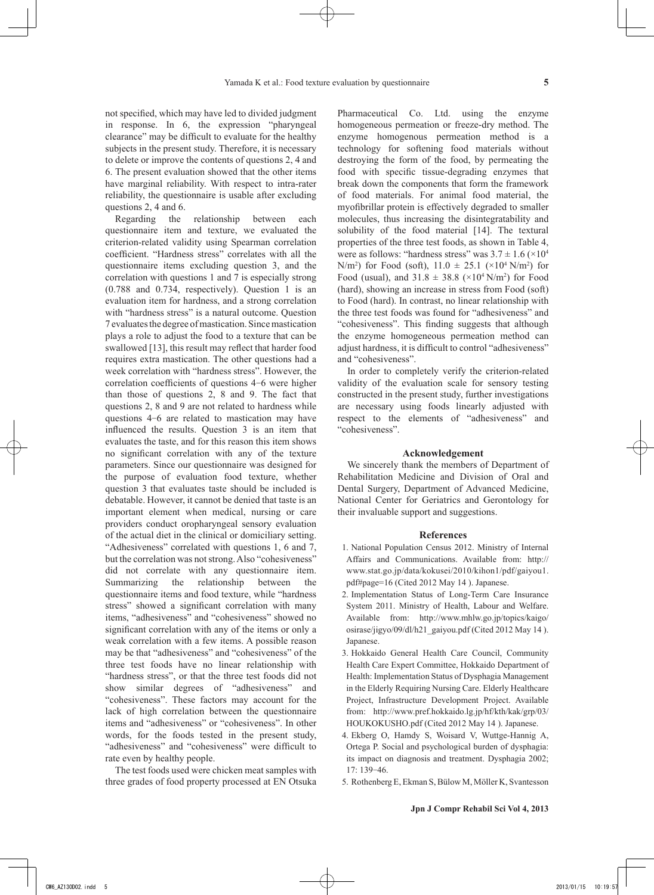not specified, which may have led to divided judgment in response. In 6, the expression "pharyngeal clearance" may be difficult to evaluate for the healthy subjects in the present study. Therefore, it is necessary to delete or improve the contents of questions 2, 4 and 6. The present evaluation showed that the other items have marginal reliability. With respect to intra-rater reliability, the questionnaire is usable after excluding questions 2, 4 and 6.

Regarding the relationship between each questionnaire item and texture, we evaluated the criterion-related validity using Spearman correlation coefficient. "Hardness stress" correlates with all the questionnaire items excluding question 3, and the correlation with questions 1 and 7 is especially strong (0.788 and 0.734, respectively). Question 1 is an evaluation item for hardness, and a strong correlation with "hardness stress" is a natural outcome. Ouestion 7 evaluates the degree of mastication. Since mastication plays a role to adjust the food to a texture that can be swallowed [13], this result may reflect that harder food requires extra mastication. The other questions had a week correlation with "hardness stress". However, the correlation coefficients of questions 4-6 were higher than those of questions 2, 8 and 9. The fact that questions 2, 8 and 9 are not related to hardness while questions 4-6 are related to mastication may have influenced the results. Question 3 is an item that evaluates the taste, and for this reason this item shows no significant correlation with any of the texture parameters. Since our questionnaire was designed for the purpose of evaluation food texture, whether question 3 that evaluates taste should be included is debatable. However, it cannot be denied that taste is an important element when medical, nursing or care providers conduct oropharyngeal sensory evaluation of the actual diet in the clinical or domiciliary setting. "Adhesiveness" correlated with questions 1, 6 and 7, but the correlation was not strong. Also "cohesiveness" did not correlate with any questionnaire item. Summarizing the relationship between the questionnaire items and food texture, while "hardness stress" showed a significant correlation with many items, "adhesiveness" and "cohesiveness" showed no significant correlation with any of the items or only a weak correlation with a few items. A possible reason may be that "adhesiveness" and "cohesiveness" of the three test foods have no linear relationship with "hardness stress", or that the three test foods did not show similar degrees of "adhesiveness" and "cohesiveness". These factors may account for the lack of high correlation between the questionnaire items and "adhesiveness" or "cohesiveness". In other words, for the foods tested in the present study, "adhesiveness" and "cohesiveness" were difficult to rate even by healthy people.

The test foods used were chicken meat samples with three grades of food property processed at EN Otsuka Pharmaceutical Co. Ltd. using the enzyme homogeneous permeation or freeze-dry method. The enzyme homogenous permeation method is a technology for softening food materials without destroying the form of the food, by permeating the food with specific tissue-degrading enzymes that break down the components that form the framework of food materials. For animal food material, the myofibrillar protein is effectively degraded to smaller molecules, thus increasing the disintegratability and solubility of the food material [14]. The textural properties of the three test foods, as shown in Table 4, were as follows: "hardness stress" was  $3.7 \pm 1.6$  ( $\times 10^4$ )  $N/m^2$ ) for Food (soft),  $11.0 \pm 25.1$  ( $\times 10^4$   $N/m^2$ ) for Food (usual), and  $31.8 \pm 38.8 \times 10^4 \,\mathrm{N/m^2}$  for Food (hard), showing an increase in stress from Food (soft) to Food (hard). In contrast, no linear relationship with the three test foods was found for "adhesiveness" and "cohesiveness". This finding suggests that although the enzyme homogeneous permeation method can adjust hardness, it is difficult to control "adhesiveness" and "cohesiveness".

In order to completely verify the criterion-related validity of the evaluation scale for sensory testing constructed in the present study, further investigations are necessary using foods linearly adjusted with respect to the elements of "adhesiveness" and "cohesiveness".

#### **Acknowledgement**

We sincerely thank the members of Department of Rehabilitation Medicine and Division of Oral and Dental Surgery, Department of Advanced Medicine, National Center for Geriatrics and Gerontology for their invaluable support and suggestions.

## **References**

- 1. National Population Census 2012. Ministry of Internal Affairs and Communications. Available from: http:// www.stat.go.jp/data/kokusei/2010/kihon1/pdf/gaiyou1. pdf#page=16 (Cited 2012 May 14 ). Japanese.
- 2. Implementation Status of Long-Term Care Insurance System 2011. Ministry of Health, Labour and Welfare. Available from: http://www.mhlw.go.jp/topics/kaigo/ osirase/jigyo/09/dl/h21\_gaiyou.pdf (Cited 2012 May 14 ). Japanese.
- 3. Hokkaido General Health Care Council, Community Health Care Expert Committee, Hokkaido Department of Health: Implementation Status of Dysphagia Management in the Elderly Requiring Nursing Care. Elderly Healthcare Project, Infrastructure Development Project. Available from: http://www.pref.hokkaido.lg.jp/hf/kth/kak/grp/03/ HOUKOKUSHO.pdf (Cited 2012 May 14 ). Japanese.
- 4. Ekberg O, Hamdy S, Woisard V, Wuttge-Hannig A, Ortega P. Social and psychological burden of dysphagia: its impact on diagnosis and treatment. Dysphagia 2002; 17: 139-46.
- 5. Rothenberg E, Ekman S, Bülow M, Möller K, Svantesson